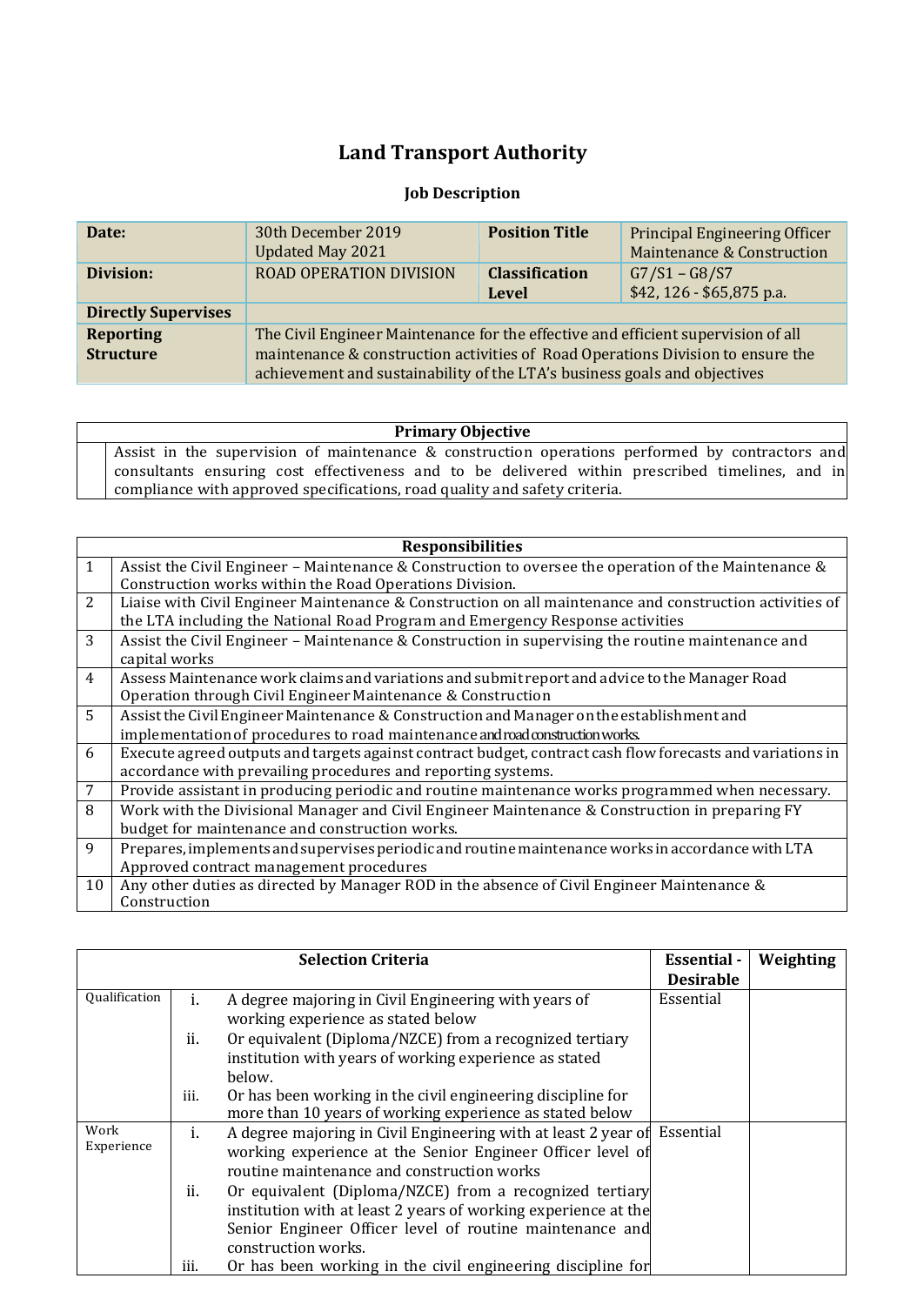## **Land Transport Authority**

## **Job Description**

| Date:                      | 30th December 2019                                                                | <b>Position Title</b> | <b>Principal Engineering Officer</b>  |
|----------------------------|-----------------------------------------------------------------------------------|-----------------------|---------------------------------------|
|                            | <b>Updated May 2021</b>                                                           |                       | <b>Maintenance &amp; Construction</b> |
| Division:                  | <b>ROAD OPERATION DIVISION</b>                                                    | <b>Classification</b> | $G7/S1 - G8/S7$                       |
|                            |                                                                                   | Level                 | \$42, 126 - \$65,875 p.a.             |
| <b>Directly Supervises</b> |                                                                                   |                       |                                       |
| <b>Reporting</b>           | The Civil Engineer Maintenance for the effective and efficient supervision of all |                       |                                       |
| <b>Structure</b>           | maintenance & construction activities of Road Operations Division to ensure the   |                       |                                       |
|                            | achievement and sustainability of the LTA's business goals and objectives         |                       |                                       |

## **Primary Objective**

Assist in the supervision of maintenance & construction operations performed by contractors and consultants ensuring cost effectiveness and to be delivered within prescribed timelines, and in compliance with approved specifications, road quality and safety criteria.

|                | <b>Responsibilities</b>                                                                                                                                                                  |  |  |
|----------------|------------------------------------------------------------------------------------------------------------------------------------------------------------------------------------------|--|--|
| $\mathbf{1}$   | Assist the Civil Engineer – Maintenance & Construction to oversee the operation of the Maintenance &<br>Construction works within the Road Operations Division.                          |  |  |
| 2              | Liaise with Civil Engineer Maintenance & Construction on all maintenance and construction activities of<br>the LTA including the National Road Program and Emergency Response activities |  |  |
| 3              | Assist the Civil Engineer - Maintenance & Construction in supervising the routine maintenance and<br>capital works                                                                       |  |  |
| $\overline{4}$ | Assess Maintenance work claims and variations and submit report and advice to the Manager Road<br>Operation through Civil Engineer Maintenance & Construction                            |  |  |
| 5              | Assist the Civil Engineer Maintenance & Construction and Manager on the establishment and<br>implementation of procedures to road maintenance androad construction works.                |  |  |
| 6              | Execute agreed outputs and targets against contract budget, contract cash flow forecasts and variations in<br>accordance with prevailing procedures and reporting systems.               |  |  |
| 7              | Provide assistant in producing periodic and routine maintenance works programmed when necessary.                                                                                         |  |  |
| 8              | Work with the Divisional Manager and Civil Engineer Maintenance & Construction in preparing FY<br>budget for maintenance and construction works.                                         |  |  |
| 9              | Prepares, implements and supervises periodic and routine maintenance works in accordance with LTA<br>Approved contract management procedures                                             |  |  |
| 10             | Any other duties as directed by Manager ROD in the absence of Civil Engineer Maintenance &<br>Construction                                                                               |  |  |

|                      |      | <b>Selection Criteria</b>                                                | <b>Essential</b> - | Weighting |
|----------------------|------|--------------------------------------------------------------------------|--------------------|-----------|
|                      |      |                                                                          | <b>Desirable</b>   |           |
| <b>Qualification</b> | ı.   | A degree majoring in Civil Engineering with years of                     | Essential          |           |
|                      |      | working experience as stated below                                       |                    |           |
|                      | ii.  | Or equivalent (Diploma/NZCE) from a recognized tertiary                  |                    |           |
|                      |      | institution with years of working experience as stated                   |                    |           |
|                      |      | below.                                                                   |                    |           |
|                      | iii. | Or has been working in the civil engineering discipline for              |                    |           |
|                      |      | more than 10 years of working experience as stated below                 |                    |           |
| Work                 | ĺ.   | A degree majoring in Civil Engineering with at least 2 year of Essential |                    |           |
| Experience           |      | working experience at the Senior Engineer Officer level of               |                    |           |
|                      |      | routine maintenance and construction works                               |                    |           |
|                      | ii.  | Or equivalent (Diploma/NZCE) from a recognized tertiary                  |                    |           |
|                      |      | institution with at least 2 years of working experience at the           |                    |           |
|                      |      | Senior Engineer Officer level of routine maintenance and                 |                    |           |
|                      |      | construction works.                                                      |                    |           |
|                      | iii. | Or has been working in the civil engineering discipline for              |                    |           |